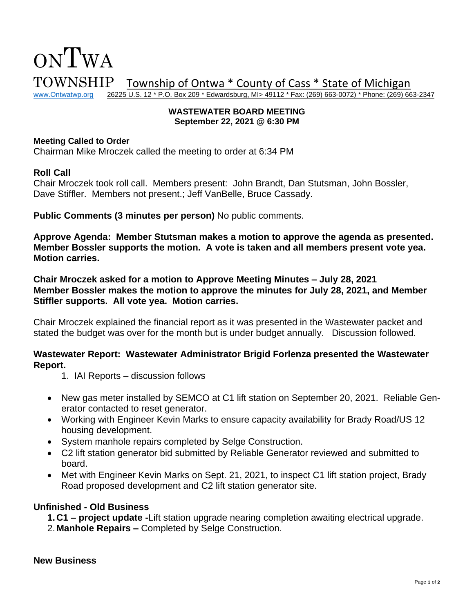

#### **WASTEWATER BOARD MEETING September 22, 2021 @ 6:30 PM**

#### **Meeting Called to Order**

Chairman Mike Mroczek called the meeting to order at 6:34 PM

### **Roll Call**

Chair Mroczek took roll call. Members present: John Brandt, Dan Stutsman, John Bossler, Dave Stiffler. Members not present.; Jeff VanBelle, Bruce Cassady.

**Public Comments (3 minutes per person)** No public comments.

**Approve Agenda: Member Stutsman makes a motion to approve the agenda as presented. Member Bossler supports the motion. A vote is taken and all members present vote yea. Motion carries.** 

**Chair Mroczek asked for a motion to Approve Meeting Minutes – July 28, 2021 Member Bossler makes the motion to approve the minutes for July 28, 2021, and Member Stiffler supports. All vote yea. Motion carries.** 

Chair Mroczek explained the financial report as it was presented in the Wastewater packet and stated the budget was over for the month but is under budget annually. Discussion followed.

## **Wastewater Report: Wastewater Administrator Brigid Forlenza presented the Wastewater Report.**

- 1. IAI Reports discussion follows
- New gas meter installed by SEMCO at C1 lift station on September 20, 2021. Reliable Generator contacted to reset generator.
- Working with Engineer Kevin Marks to ensure capacity availability for Brady Road/US 12 housing development.
- System manhole repairs completed by Selge Construction.
- C2 lift station generator bid submitted by Reliable Generator reviewed and submitted to board.
- Met with Engineer Kevin Marks on Sept. 21, 2021, to inspect C1 lift station project, Brady Road proposed development and C2 lift station generator site.

## **Unfinished - Old Business**

- **1.C1 – project update -**Lift station upgrade nearing completion awaiting electrical upgrade.
- 2.**Manhole Repairs –** Completed by Selge Construction.